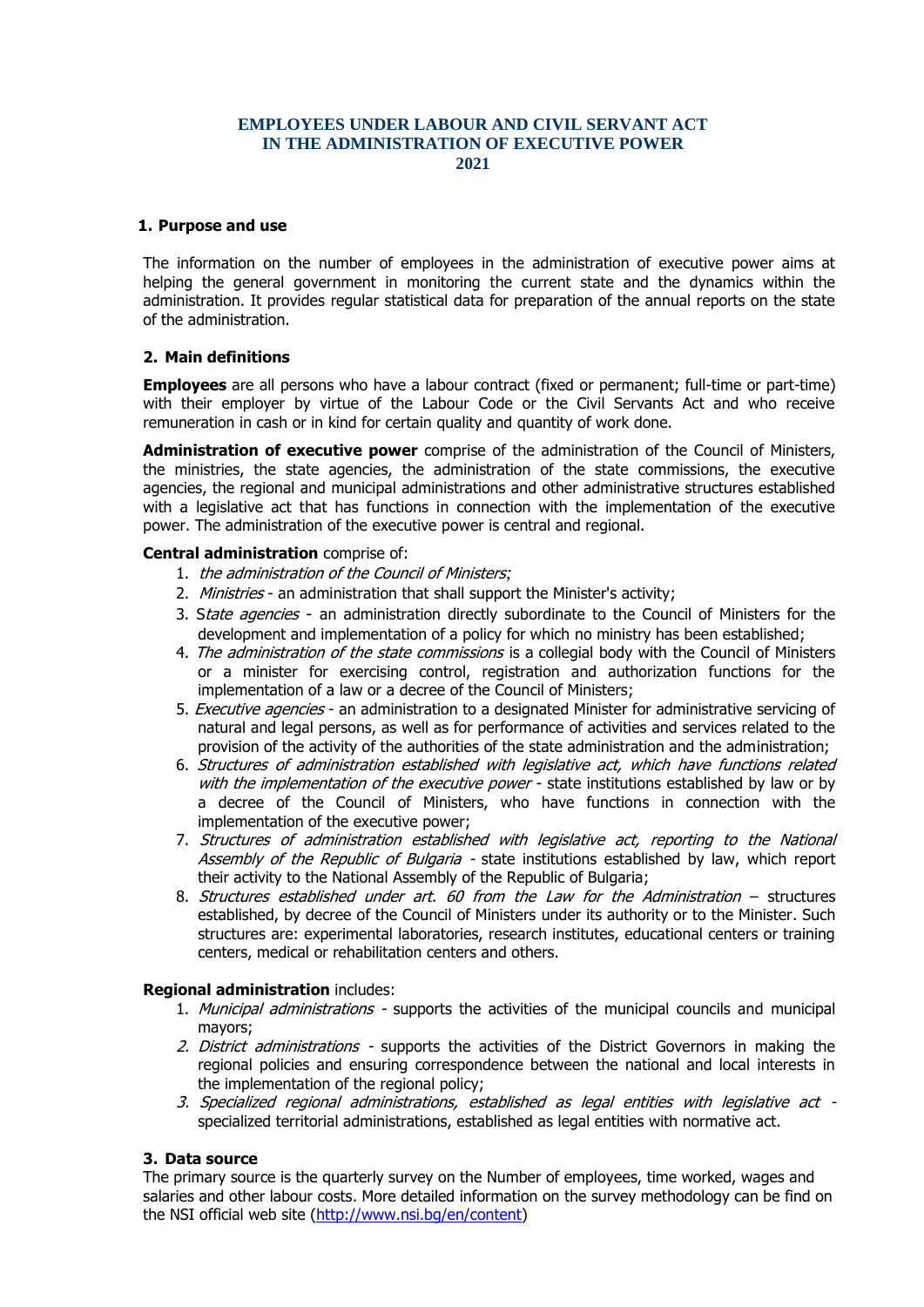## **EMPLOYEES UNDER LABOUR AND CIVIL SERVANT ACT IN THE ADMINISTRATION OF EXECUTIVE POWER 2021**

#### **1. Purpose and use**

The information on the number of employees in the administration of executive power aims at helping the general government in monitoring the current state and the dynamics within the administration. It provides regular statistical data for preparation of the annual reports on the state of the administration.

## **2. Main definitions**

**Employees** are all persons who have a labour contract (fixed or permanent; full-time or part-time) with their employer by virtue of the Labour Code or the Civil Servants Act and who receive remuneration in cash or in kind for certain quality and quantity of work done.

**Administration of executive power** comprise of the administration of the Council of Ministers, the ministries, the state agencies, the administration of the state commissions, the executive agencies, the regional and municipal administrations and other administrative structures established with a legislative act that has functions in connection with the implementation of the executive power. The administration of the executive power is central and regional.

## **Central administration** comprise of:

- 1. the administration of the Council of Ministers*;*
- 2. Ministries an administration that shall support the Minister's activity;
- 3. State agencies an administration directly subordinate to the Council of Ministers for the development and implementation of a policy for which no ministry has been established;
- 4. The administration of the state commissions is a collegial body with the Council of Ministers or a minister for exercising control, registration and authorization functions for the implementation of a law or a decree of the Council of Ministers;
- 5. Executive agencies an administration to a designated Minister for administrative servicing of natural and legal persons, as well as for performance of activities and services related to the provision of the activity of the authorities of the state administration and the administration;
- 6. Structures of administration established with legislative act, which have functions related with the implementation of the executive power - state institutions established by law or by a decree of the Council of Ministers, who have functions in connection with the implementation of the executive power;
- 7. Structures of administration established with legislative act, reporting to the National Assembly of the Republic of Bulgaria - state institutions established by law, which report their activity to the National Assembly of the Republic of Bulgaria;
- 8. Structures established under art. 60 from the Law for the Administration structures established, by decree of the Council of Ministers under its authority or to the Minister. Such structures are: experimental laboratories, research institutes, educational centers or training centers, medical or rehabilitation centers and others.

#### **Regional administration** includes:

- 1. Municipal administrations supports the activities of the municipal councils and municipal mayors;
- 2. District administrations supports the activities of the District Governors in making the regional policies and ensuring correspondence between the national and local interests in the implementation of the regional policy;
- 3. Specialized regional administrations, established as legal entities with legislative act specialized territorial administrations, established as legal entities with normative act.

## **3. Data source**

The primary source is the quarterly survey on the Number of employees, time worked, wages and salaries and other labour costs. More detailed information on the survey methodology can be find on the NSI official web site [\(http://www.nsi.bg/en/content\)](http://www.nsi.bg/en/content/6402/employees-under-labour-contract-%E2%80%93-total-statistical-regions-district)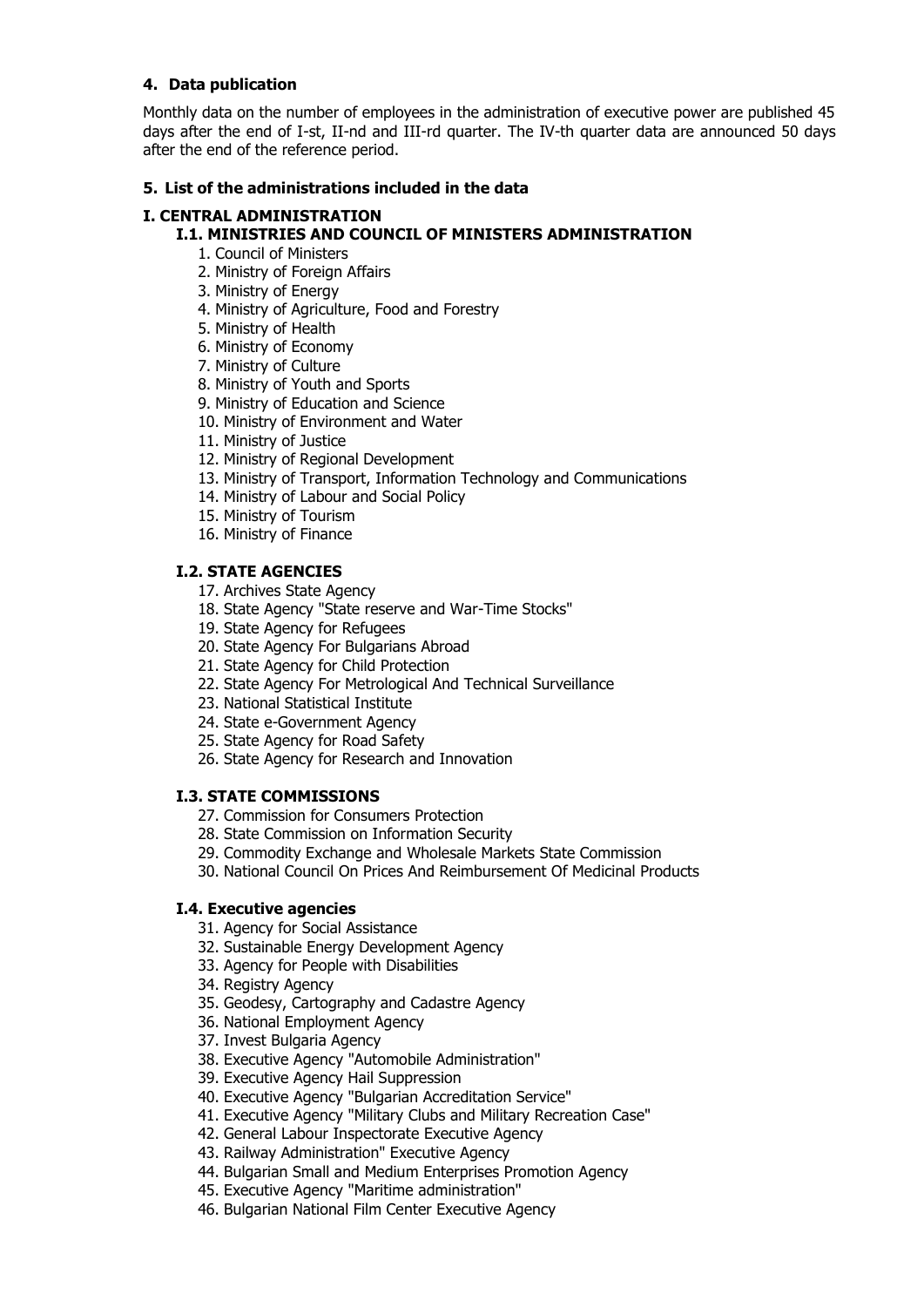# **4. Data publication**

Monthly data on the number of employees in the administration of executive power are published 45 days after the end of I-st, II-nd and III-rd quarter. The IV-th quarter data are announced 50 days after the end of the reference period.

# **5. List of the administrations included in the data**

## **І. CENTRAL ADMINISTRATION**

# **І.1. MINISTRIES AND COUNCIL OF MINISTERS ADMINISTRATION**

- 1. Council of Ministers
- 2. Ministry of Foreign Affairs
- 3. Ministry of Energy
- 4. Ministry of Agriculture, Food and Forestry
- 5. Ministry of Health
- 6. Ministry of Economy
- 7. Ministry of Culture
- 8. Ministry of Youth and Sports
- 9. Ministry of Education and Science
- 10. Ministry of Environment and Water
- 11. Ministry of Justice
- 12. Ministry of Regional Development
- 13. Ministry of Transport, Information Technology and Communications
- 14. Ministry of Labour and Social Policy
- 15. Ministry of Tourism
- 16. Ministry of Finance

# **І.2. STATE AGENCIES**

- 17. Archives State Agency
- 18. [State Agency "State reserve and War-Time Stocks"](http://www.statereserve.bg/dadrvvz/opencms/menu/bg/)
- 19. State Agency for Refugees
- 20. [State Agency For Bulgarians Abroad](http://www.aba.government.bg/)
- 21. [State Agency for Child Protection](http://www.sacp.government.bg/)
- 22. State Agency For Metrological And Technical Surveillance
- 23. [National Statistical Institute](http://www.nsi.bg/)
- 24. State e-Government Agency
- 25. State Agency for Road Safety
- 26. State Agency for Research and Innovation

# **І.3. STATE COMMISSIONS**

- 27. [Commission for Consumers Protection](http://www.kzp.bg/)
- 28. [State Commission on Information Security](http://www.dksi.bg/)
- 29. [Commodity Exchange and Wholesale Markets State Commission](http://www.dksbt.bg/)
- 30. National Council On Prices And Reimbursement Of Medicinal Products

# **І.4. Executive agencies**

- 31. [Agency for Social Assistance](http://www.asp.government.bg/)
- 32. [Sustainable Energy Development Agency](http://www.seea.government.bg/)
- 33. [Agency for People with Disabilities](http://ahu.mlsp.government.bg/)
- 34. [Registry Agency](http://www.registryagency.bg/)
- 35. [Geodesy, Cartography and Cadastre Agency](http://www.cadastre.bg/)
- 36. [National Employment Agency](http://www.az.government.bg/)
- 37. [Invest Bulgaria Agency](http://www.investbg.government.bg/)
- 38. Executive Agency "Automobile Administration"
- 39. Executive Agency Hail Suppression
- 40. Executive Agency "Bulgarian Accreditation Service"
- 41. Executive Agency "Military Clubs and Military Recreation Case"
- 42. General Labour Inspectorate Executive Agency
- 43. Railway Administration" Executive Agency
- 44. Bulgarian Small and Medium Enterprises Promotion Agency
- 45. Executive Agency "Maritime administration"
- 46. Bulgarian National Film Center Executive Agency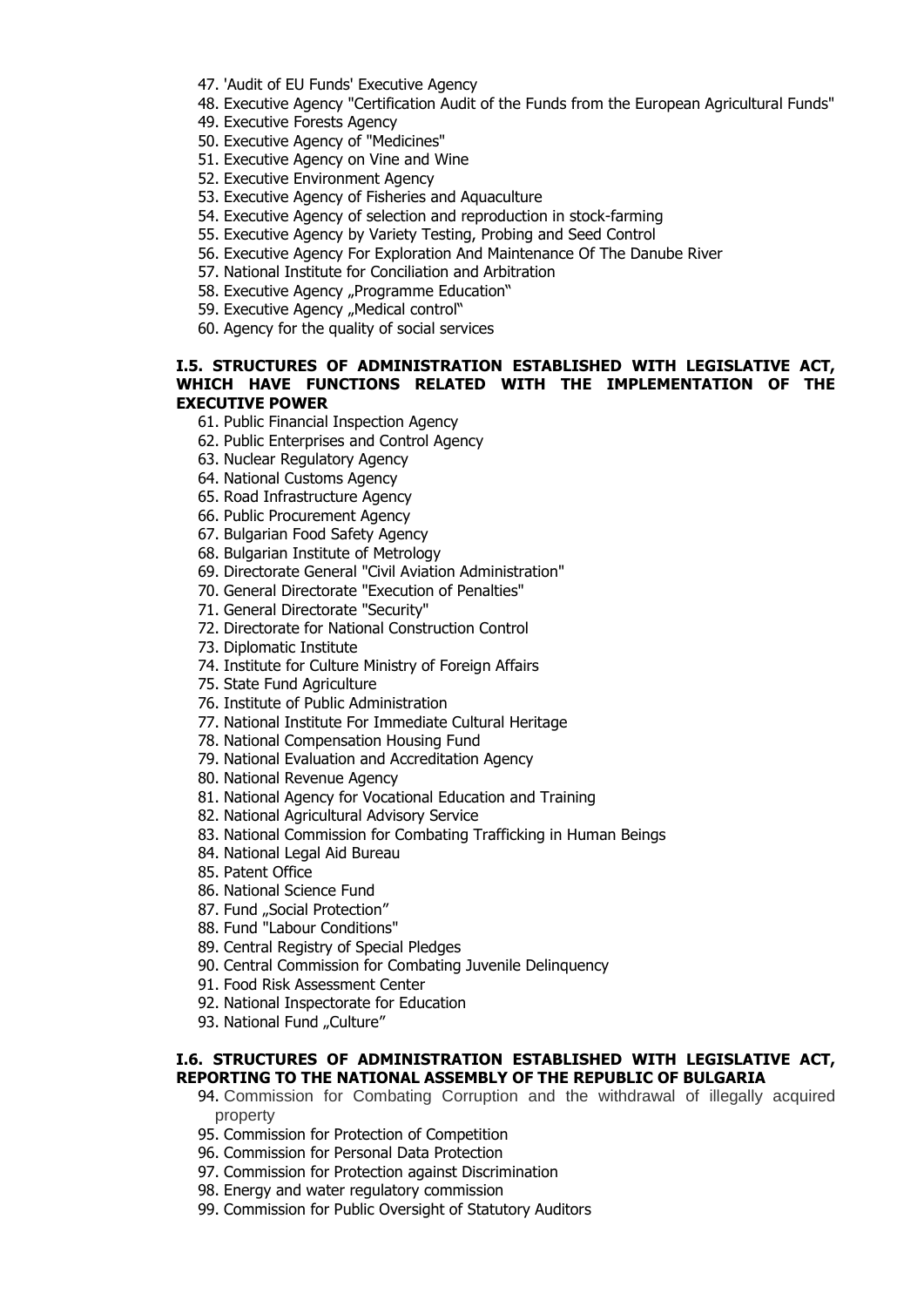- 47. 'Audit of EU Funds' Executive Agency
- 48. Executive Agency "Certification Audit of the Funds from the European Agricultural Funds"
- 49. [Executive Forests Agency](http://www.nug.bg/)
- 50. Executive Agency of "Medicines"
- 51. Executive Agency on Vine and Wine
- 52. Executive Environment Agency
- 53. Executive Agency of Fisheries and Aquaculture
- 54. Executive Agency of selection and reproduction in stock-farming
- 55. Executive Agency by Variety Testing, Probing and Seed Control
- 56. Executive Agency For Exploration And Maintenance Of The Danube River
- 57. National Institute for Conciliation and Arbitration
- 58. Executive Agency "Programme Education"
- 59. Executive Agency "Medical control"
- 60. Agency for the quality of social services

## **І.5. STRUCTURES OF ADMINISTRATION ESTABLISHED WITH LEGISLATIVE ACT, WHICH HAVE FUNCTIONS RELATED WITH THE IMPLEMENTATION OF THE EXECUTIVE POWER**

- 61. [Public Financial Inspection Agency](http://www.adfi.minfin.bg/)
- 62. Public Enterprises and Control [Agency](http://www.priv.government.bg/)
- 63. Nuclear [Regulatory Agency](http://www.bnra.bg/)
- 64. [National Customs Agency](http://www.customs.bg/)
- 65. Road Infrastructure Agency
- 66. [Public Procurement Agency](http://www.aop.bg/)
- 67. Bulgarian Food Safety Agency
- 68. Bulgarian Institute of Metrology
- 69. Directorate General "Civil Aviation Administration"
- 70. General Directorate "Execution of Penalties"
- 71. General Directorate "Security"
- 72. Directorate for National Construction Control
- 73. Diplomatic Institute
- 74. Institute for Culture Ministry of Foreign Affairs
- 75. State Fund Agriculture
- 76. Institute of Public Administration
- 77. National Institute For Immediate Cultural Heritage
- 78. National Compensation Housing Fund
- 79. National Evaluation and Accreditation Agency
- 80. [National Revenue Agency](http://www.nap.bg/)
- 81. National Agency for Vocational Education and Training
- 82. National Agricultural Advisory Service
- 83. National Commission for Combating Trafficking in Human Beings
- 84. National Legal Aid Bureau
- 85. [Patent Office](http://www.bpo.bg/)
- 86. National Science Fund
- 87. Fund "Social Protection"
- 88. Fund "Labour Conditions"
- 89. Central Registry of Special Pledges
- 90. Central Commission for Combating Juvenile Delinquency
- 91. Food Risk Assessment Center
- 92. National Inspectorate for Education
- 93. National Fund "Culture"

## **І.6. STRUCTURES OF ADMINISTRATION ESTABLISHED WITH LEGISLATIVE ACT, REPORTING TO THE NATIONAL ASSEMBLY OF THE REPUBLIC OF BULGARIA**

- 94. Commission for Combating Corruption and the withdrawal of illegally acquired property
- 95. [Commission for Protection of Competition](http://www.cpc.bg/)
- 96. [Commission for Personal Data Protection](http://www.cpdp.bg/)
- 97. [Commission for Protection against Discrimination](http://www.kzd-nondiscrimination.com/)
- 98. [Energy and water regulatory commission](http://www.dker.bg/)
- 99. Commission for Public Oversight of Statutory Auditors